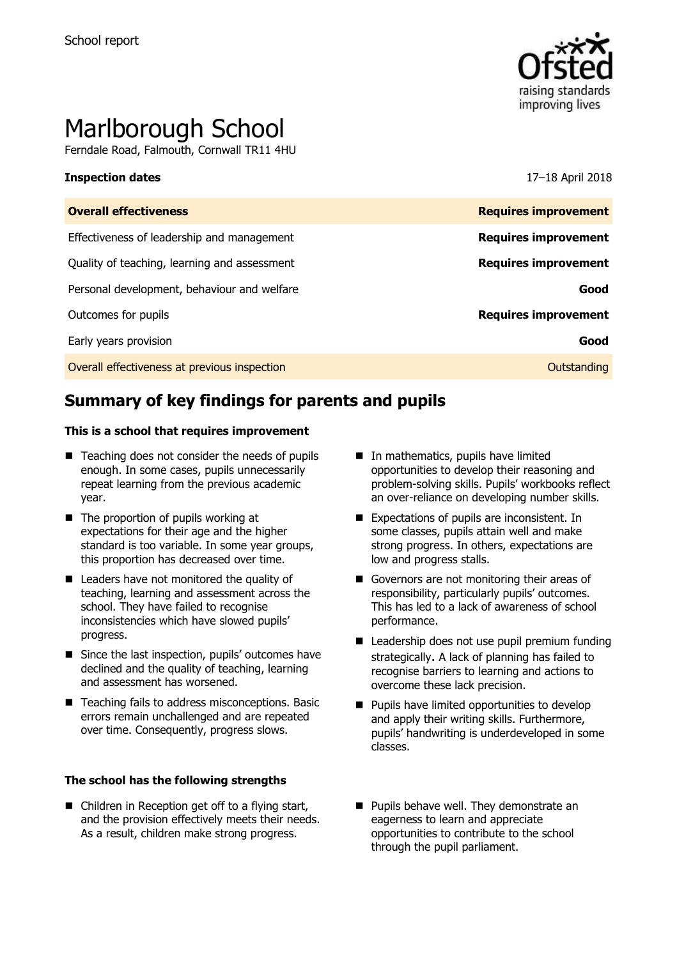

# Marlborough School

Ferndale Road, Falmouth, Cornwall TR11 4HU

### **Inspection dates** 17–18 April 2018

| <b>Overall effectiveness</b>                 | <b>Requires improvement</b> |
|----------------------------------------------|-----------------------------|
| Effectiveness of leadership and management   | <b>Requires improvement</b> |
| Quality of teaching, learning and assessment | <b>Requires improvement</b> |
| Personal development, behaviour and welfare  | Good                        |
| Outcomes for pupils                          | <b>Requires improvement</b> |
| Early years provision                        | Good                        |
| Overall effectiveness at previous inspection | Outstanding                 |
|                                              |                             |

# **Summary of key findings for parents and pupils**

### **This is a school that requires improvement**

- $\blacksquare$  Teaching does not consider the needs of pupils enough. In some cases, pupils unnecessarily repeat learning from the previous academic year.
- $\blacksquare$  The proportion of pupils working at expectations for their age and the higher standard is too variable. In some year groups, this proportion has decreased over time.
- Leaders have not monitored the quality of teaching, learning and assessment across the school. They have failed to recognise inconsistencies which have slowed pupils' progress.
- Since the last inspection, pupils' outcomes have declined and the quality of teaching, learning and assessment has worsened.
- Teaching fails to address misconceptions. Basic errors remain unchallenged and are repeated over time. Consequently, progress slows.

### **The school has the following strengths**

■ Children in Reception get off to a flying start, and the provision effectively meets their needs. As a result, children make strong progress.

- In mathematics, pupils have limited opportunities to develop their reasoning and problem-solving skills. Pupils' workbooks reflect an over-reliance on developing number skills.
- Expectations of pupils are inconsistent. In some classes, pupils attain well and make strong progress. In others, expectations are low and progress stalls.
- Governors are not monitoring their areas of responsibility, particularly pupils' outcomes. This has led to a lack of awareness of school performance.
- Leadership does not use pupil premium funding strategically. A lack of planning has failed to recognise barriers to learning and actions to overcome these lack precision.
- **Pupils have limited opportunities to develop** and apply their writing skills. Furthermore, pupils' handwriting is underdeveloped in some classes.
- **Pupils behave well. They demonstrate an** eagerness to learn and appreciate opportunities to contribute to the school through the pupil parliament.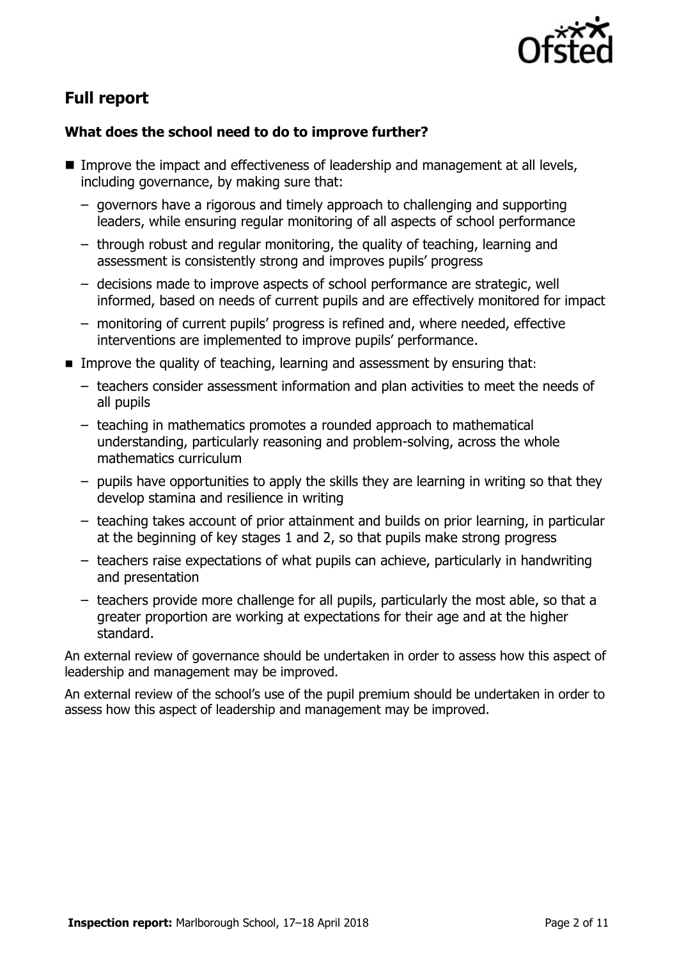

# **Full report**

### **What does the school need to do to improve further?**

- Improve the impact and effectiveness of leadership and management at all levels, including governance, by making sure that:
	- governors have a rigorous and timely approach to challenging and supporting leaders, while ensuring regular monitoring of all aspects of school performance
	- through robust and regular monitoring, the quality of teaching, learning and assessment is consistently strong and improves pupils' progress
	- decisions made to improve aspects of school performance are strategic, well informed, based on needs of current pupils and are effectively monitored for impact
	- monitoring of current pupils' progress is refined and, where needed, effective interventions are implemented to improve pupils' performance.
- **IMPROVE the quality of teaching, learning and assessment by ensuring that:** 
	- teachers consider assessment information and plan activities to meet the needs of all pupils
	- teaching in mathematics promotes a rounded approach to mathematical understanding, particularly reasoning and problem-solving, across the whole mathematics curriculum
	- pupils have opportunities to apply the skills they are learning in writing so that they develop stamina and resilience in writing
	- teaching takes account of prior attainment and builds on prior learning, in particular at the beginning of key stages 1 and 2, so that pupils make strong progress
	- teachers raise expectations of what pupils can achieve, particularly in handwriting and presentation
	- teachers provide more challenge for all pupils, particularly the most able, so that a greater proportion are working at expectations for their age and at the higher standard.

An external review of governance should be undertaken in order to assess how this aspect of leadership and management may be improved.

An external review of the school's use of the pupil premium should be undertaken in order to assess how this aspect of leadership and management may be improved.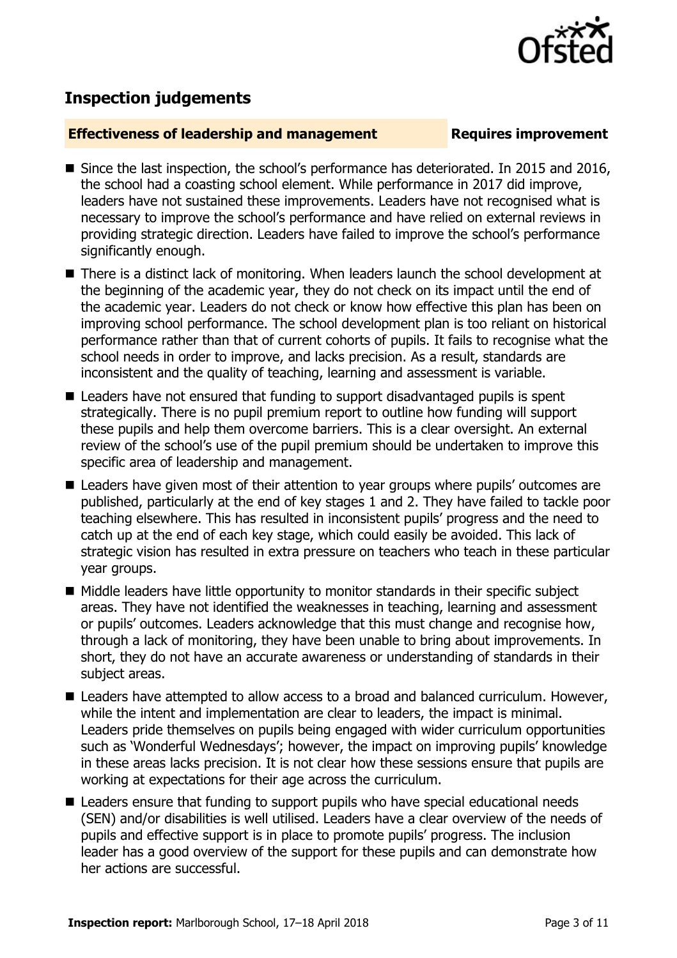

## **Inspection judgements**

### **Effectiveness of leadership and management Requires improvement**

- Since the last inspection, the school's performance has deteriorated. In 2015 and 2016, the school had a coasting school element. While performance in 2017 did improve, leaders have not sustained these improvements. Leaders have not recognised what is necessary to improve the school's performance and have relied on external reviews in providing strategic direction. Leaders have failed to improve the school's performance significantly enough.
- There is a distinct lack of monitoring. When leaders launch the school development at the beginning of the academic year, they do not check on its impact until the end of the academic year. Leaders do not check or know how effective this plan has been on improving school performance. The school development plan is too reliant on historical performance rather than that of current cohorts of pupils. It fails to recognise what the school needs in order to improve, and lacks precision. As a result, standards are inconsistent and the quality of teaching, learning and assessment is variable.
- Leaders have not ensured that funding to support disadvantaged pupils is spent strategically. There is no pupil premium report to outline how funding will support these pupils and help them overcome barriers. This is a clear oversight. An external review of the school's use of the pupil premium should be undertaken to improve this specific area of leadership and management.
- Leaders have given most of their attention to year groups where pupils' outcomes are published, particularly at the end of key stages 1 and 2. They have failed to tackle poor teaching elsewhere. This has resulted in inconsistent pupils' progress and the need to catch up at the end of each key stage, which could easily be avoided. This lack of strategic vision has resulted in extra pressure on teachers who teach in these particular year groups.
- Middle leaders have little opportunity to monitor standards in their specific subject areas. They have not identified the weaknesses in teaching, learning and assessment or pupils' outcomes. Leaders acknowledge that this must change and recognise how, through a lack of monitoring, they have been unable to bring about improvements. In short, they do not have an accurate awareness or understanding of standards in their subject areas.
- Leaders have attempted to allow access to a broad and balanced curriculum. However, while the intent and implementation are clear to leaders, the impact is minimal. Leaders pride themselves on pupils being engaged with wider curriculum opportunities such as 'Wonderful Wednesdays'; however, the impact on improving pupils' knowledge in these areas lacks precision. It is not clear how these sessions ensure that pupils are working at expectations for their age across the curriculum.
- Leaders ensure that funding to support pupils who have special educational needs (SEN) and/or disabilities is well utilised. Leaders have a clear overview of the needs of pupils and effective support is in place to promote pupils' progress. The inclusion leader has a good overview of the support for these pupils and can demonstrate how her actions are successful.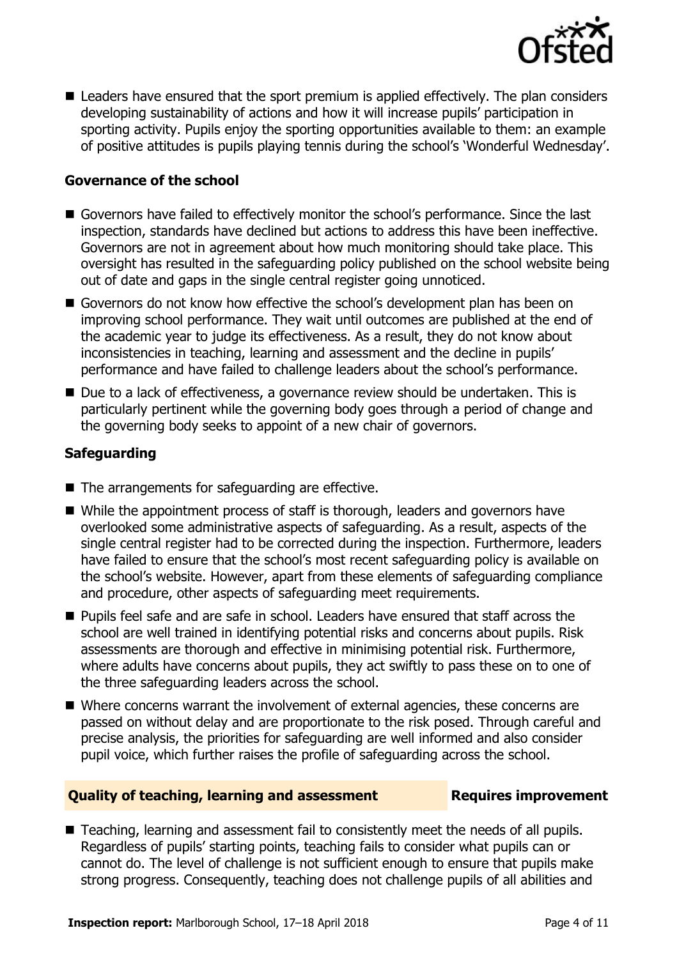

■ Leaders have ensured that the sport premium is applied effectively. The plan considers developing sustainability of actions and how it will increase pupils' participation in sporting activity. Pupils enjoy the sporting opportunities available to them: an example of positive attitudes is pupils playing tennis during the school's 'Wonderful Wednesday'.

### **Governance of the school**

- Governors have failed to effectively monitor the school's performance. Since the last inspection, standards have declined but actions to address this have been ineffective. Governors are not in agreement about how much monitoring should take place. This oversight has resulted in the safeguarding policy published on the school website being out of date and gaps in the single central register going unnoticed.
- Governors do not know how effective the school's development plan has been on improving school performance. They wait until outcomes are published at the end of the academic year to judge its effectiveness. As a result, they do not know about inconsistencies in teaching, learning and assessment and the decline in pupils' performance and have failed to challenge leaders about the school's performance.
- Due to a lack of effectiveness, a governance review should be undertaken. This is particularly pertinent while the governing body goes through a period of change and the governing body seeks to appoint of a new chair of governors.

### **Safeguarding**

- The arrangements for safeguarding are effective.
- While the appointment process of staff is thorough, leaders and governors have overlooked some administrative aspects of safeguarding. As a result, aspects of the single central register had to be corrected during the inspection. Furthermore, leaders have failed to ensure that the school's most recent safeguarding policy is available on the school's website. However, apart from these elements of safeguarding compliance and procedure, other aspects of safeguarding meet requirements.
- **Pupils feel safe and are safe in school. Leaders have ensured that staff across the** school are well trained in identifying potential risks and concerns about pupils. Risk assessments are thorough and effective in minimising potential risk. Furthermore, where adults have concerns about pupils, they act swiftly to pass these on to one of the three safeguarding leaders across the school.
- Where concerns warrant the involvement of external agencies, these concerns are passed on without delay and are proportionate to the risk posed. Through careful and precise analysis, the priorities for safeguarding are well informed and also consider pupil voice, which further raises the profile of safeguarding across the school.

### **Quality of teaching, learning and assessment Requires improvement**

■ Teaching, learning and assessment fail to consistently meet the needs of all pupils. Regardless of pupils' starting points, teaching fails to consider what pupils can or cannot do. The level of challenge is not sufficient enough to ensure that pupils make strong progress. Consequently, teaching does not challenge pupils of all abilities and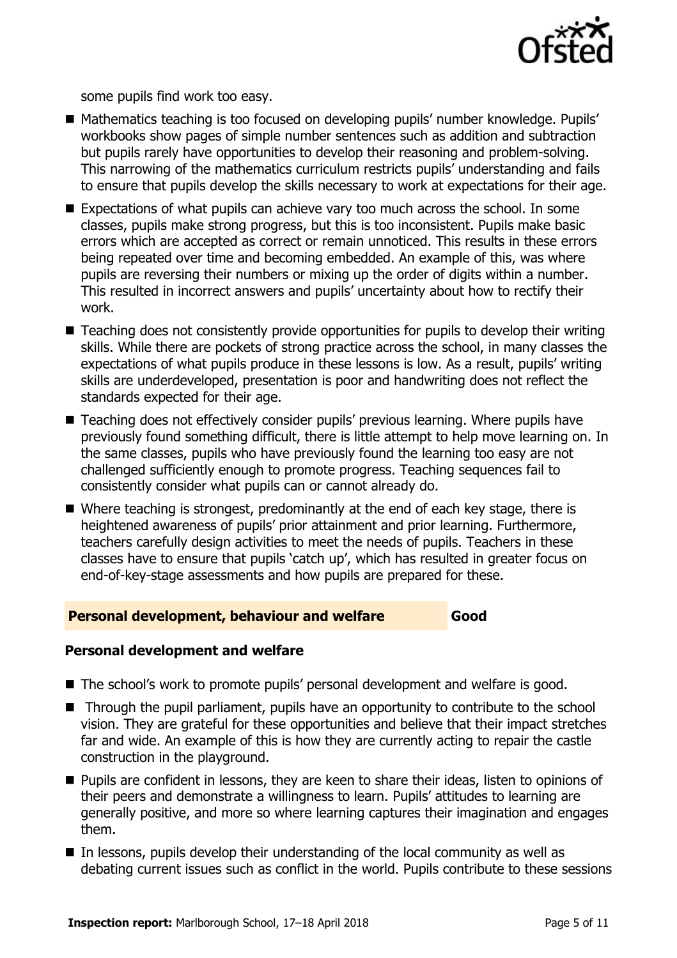

some pupils find work too easy.

- Mathematics teaching is too focused on developing pupils' number knowledge. Pupils' workbooks show pages of simple number sentences such as addition and subtraction but pupils rarely have opportunities to develop their reasoning and problem-solving. This narrowing of the mathematics curriculum restricts pupils' understanding and fails to ensure that pupils develop the skills necessary to work at expectations for their age.
- Expectations of what pupils can achieve vary too much across the school. In some classes, pupils make strong progress, but this is too inconsistent. Pupils make basic errors which are accepted as correct or remain unnoticed. This results in these errors being repeated over time and becoming embedded. An example of this, was where pupils are reversing their numbers or mixing up the order of digits within a number. This resulted in incorrect answers and pupils' uncertainty about how to rectify their work.
- Teaching does not consistently provide opportunities for pupils to develop their writing skills. While there are pockets of strong practice across the school, in many classes the expectations of what pupils produce in these lessons is low. As a result, pupils' writing skills are underdeveloped, presentation is poor and handwriting does not reflect the standards expected for their age.
- Teaching does not effectively consider pupils' previous learning. Where pupils have previously found something difficult, there is little attempt to help move learning on. In the same classes, pupils who have previously found the learning too easy are not challenged sufficiently enough to promote progress. Teaching sequences fail to consistently consider what pupils can or cannot already do.
- Where teaching is strongest, predominantly at the end of each key stage, there is heightened awareness of pupils' prior attainment and prior learning. Furthermore, teachers carefully design activities to meet the needs of pupils. Teachers in these classes have to ensure that pupils 'catch up', which has resulted in greater focus on end-of-key-stage assessments and how pupils are prepared for these.

### **Personal development, behaviour and welfare Good**

### **Personal development and welfare**

- The school's work to promote pupils' personal development and welfare is good.
- Through the pupil parliament, pupils have an opportunity to contribute to the school vision. They are grateful for these opportunities and believe that their impact stretches far and wide. An example of this is how they are currently acting to repair the castle construction in the playground.
- **Pupils are confident in lessons, they are keen to share their ideas, listen to opinions of** their peers and demonstrate a willingness to learn. Pupils' attitudes to learning are generally positive, and more so where learning captures their imagination and engages them.
- $\blacksquare$  In lessons, pupils develop their understanding of the local community as well as debating current issues such as conflict in the world. Pupils contribute to these sessions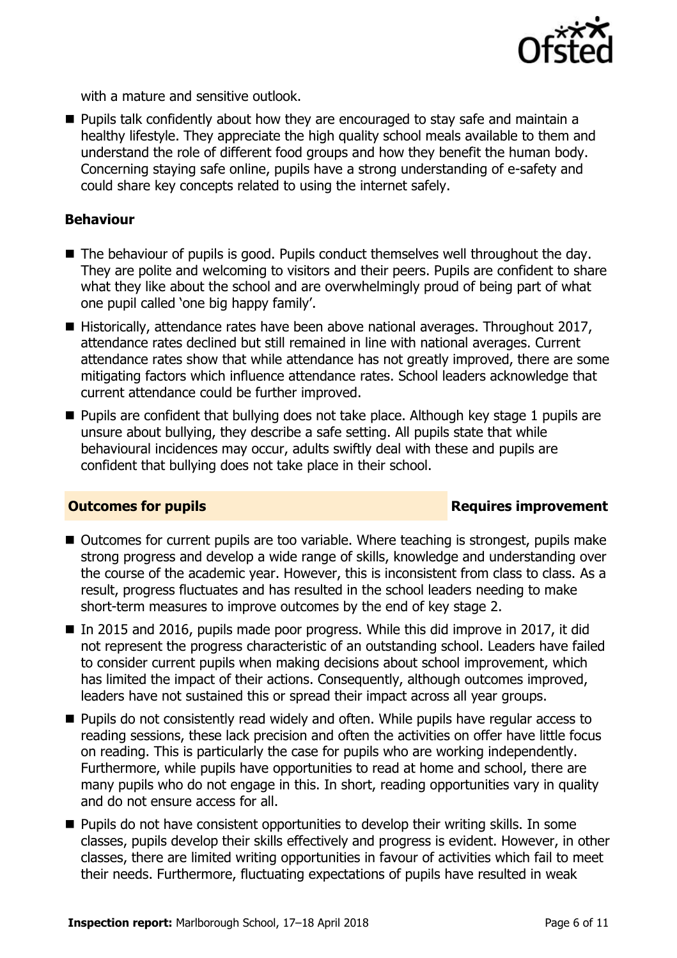

with a mature and sensitive outlook.

**Pupils talk confidently about how they are encouraged to stay safe and maintain a** healthy lifestyle. They appreciate the high quality school meals available to them and understand the role of different food groups and how they benefit the human body. Concerning staying safe online, pupils have a strong understanding of e-safety and could share key concepts related to using the internet safely.

### **Behaviour**

- The behaviour of pupils is good. Pupils conduct themselves well throughout the day. They are polite and welcoming to visitors and their peers. Pupils are confident to share what they like about the school and are overwhelmingly proud of being part of what one pupil called 'one big happy family'.
- Historically, attendance rates have been above national averages. Throughout 2017, attendance rates declined but still remained in line with national averages. Current attendance rates show that while attendance has not greatly improved, there are some mitigating factors which influence attendance rates. School leaders acknowledge that current attendance could be further improved.
- **Pupils are confident that bullying does not take place. Although key stage 1 pupils are** unsure about bullying, they describe a safe setting. All pupils state that while behavioural incidences may occur, adults swiftly deal with these and pupils are confident that bullying does not take place in their school.

### **Outcomes for pupils Requires improvement**

- Outcomes for current pupils are too variable. Where teaching is strongest, pupils make strong progress and develop a wide range of skills, knowledge and understanding over the course of the academic year. However, this is inconsistent from class to class. As a result, progress fluctuates and has resulted in the school leaders needing to make short-term measures to improve outcomes by the end of key stage 2.
- In 2015 and 2016, pupils made poor progress. While this did improve in 2017, it did not represent the progress characteristic of an outstanding school. Leaders have failed to consider current pupils when making decisions about school improvement, which has limited the impact of their actions. Consequently, although outcomes improved, leaders have not sustained this or spread their impact across all year groups.
- **Pupils do not consistently read widely and often. While pupils have regular access to** reading sessions, these lack precision and often the activities on offer have little focus on reading. This is particularly the case for pupils who are working independently. Furthermore, while pupils have opportunities to read at home and school, there are many pupils who do not engage in this. In short, reading opportunities vary in quality and do not ensure access for all.
- $\blacksquare$  Pupils do not have consistent opportunities to develop their writing skills. In some classes, pupils develop their skills effectively and progress is evident. However, in other classes, there are limited writing opportunities in favour of activities which fail to meet their needs. Furthermore, fluctuating expectations of pupils have resulted in weak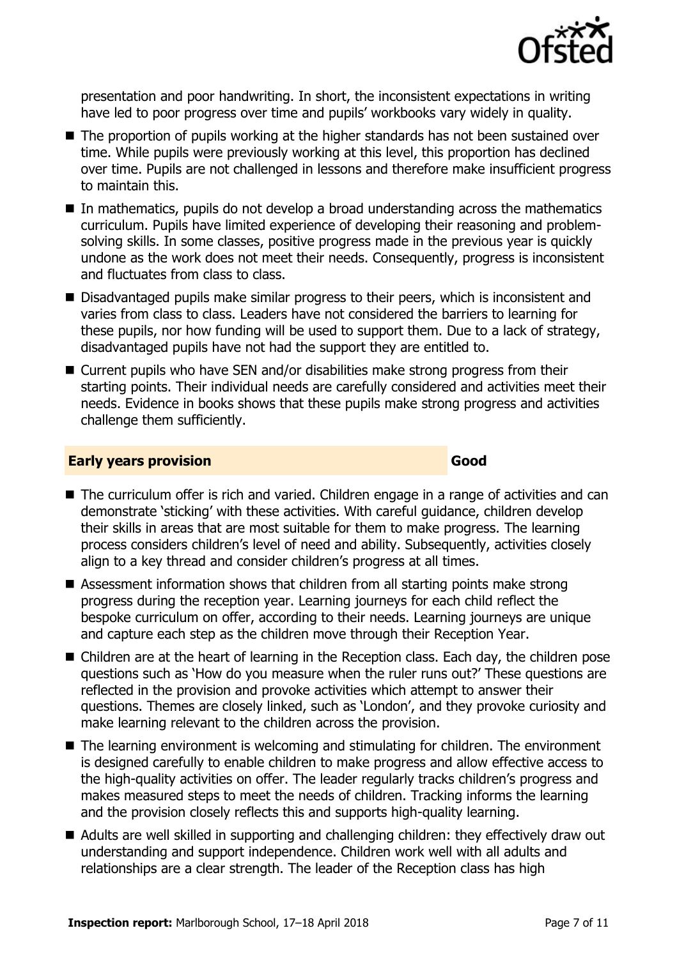

presentation and poor handwriting. In short, the inconsistent expectations in writing have led to poor progress over time and pupils' workbooks vary widely in quality.

- The proportion of pupils working at the higher standards has not been sustained over time. While pupils were previously working at this level, this proportion has declined over time. Pupils are not challenged in lessons and therefore make insufficient progress to maintain this.
- $\blacksquare$  In mathematics, pupils do not develop a broad understanding across the mathematics curriculum. Pupils have limited experience of developing their reasoning and problemsolving skills. In some classes, positive progress made in the previous year is quickly undone as the work does not meet their needs. Consequently, progress is inconsistent and fluctuates from class to class.
- Disadvantaged pupils make similar progress to their peers, which is inconsistent and varies from class to class. Leaders have not considered the barriers to learning for these pupils, nor how funding will be used to support them. Due to a lack of strategy, disadvantaged pupils have not had the support they are entitled to.
- Current pupils who have SEN and/or disabilities make strong progress from their starting points. Their individual needs are carefully considered and activities meet their needs. Evidence in books shows that these pupils make strong progress and activities challenge them sufficiently.

### **Early years provision Good**

- The curriculum offer is rich and varied. Children engage in a range of activities and can demonstrate 'sticking' with these activities. With careful guidance, children develop their skills in areas that are most suitable for them to make progress. The learning process considers children's level of need and ability. Subsequently, activities closely align to a key thread and consider children's progress at all times.
- Assessment information shows that children from all starting points make strong progress during the reception year. Learning journeys for each child reflect the bespoke curriculum on offer, according to their needs. Learning journeys are unique and capture each step as the children move through their Reception Year.
- Children are at the heart of learning in the Reception class. Each day, the children pose questions such as 'How do you measure when the ruler runs out?' These questions are reflected in the provision and provoke activities which attempt to answer their questions. Themes are closely linked, such as 'London', and they provoke curiosity and make learning relevant to the children across the provision.
- The learning environment is welcoming and stimulating for children. The environment is designed carefully to enable children to make progress and allow effective access to the high-quality activities on offer. The leader regularly tracks children's progress and makes measured steps to meet the needs of children. Tracking informs the learning and the provision closely reflects this and supports high-quality learning.
- Adults are well skilled in supporting and challenging children: they effectively draw out understanding and support independence. Children work well with all adults and relationships are a clear strength. The leader of the Reception class has high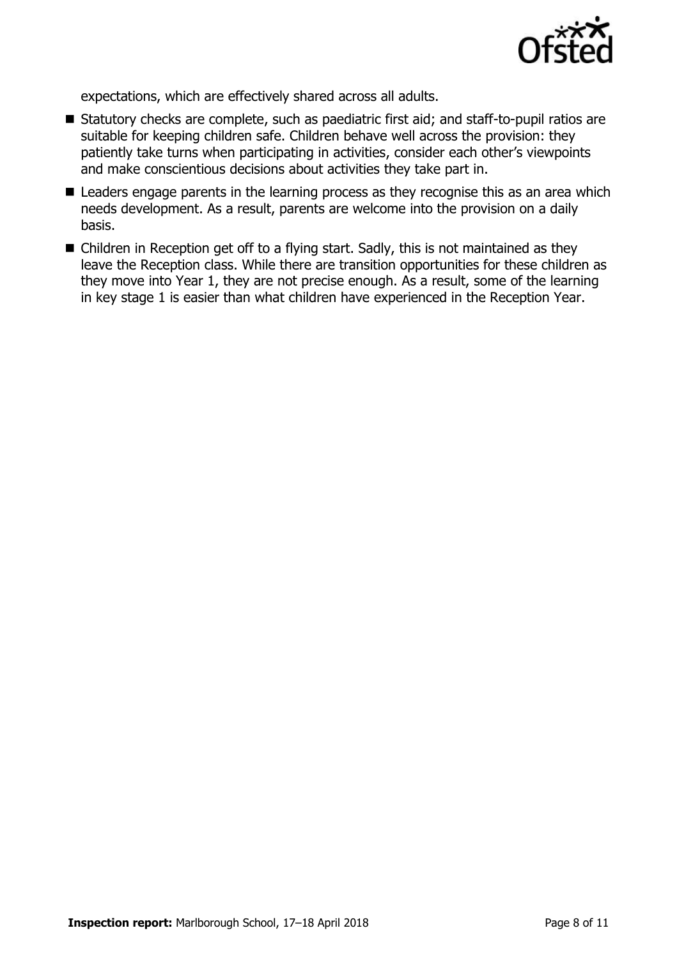

expectations, which are effectively shared across all adults.

- Statutory checks are complete, such as paediatric first aid; and staff-to-pupil ratios are suitable for keeping children safe. Children behave well across the provision: they patiently take turns when participating in activities, consider each other's viewpoints and make conscientious decisions about activities they take part in.
- Leaders engage parents in the learning process as they recognise this as an area which needs development. As a result, parents are welcome into the provision on a daily basis.
- Children in Reception get off to a flying start. Sadly, this is not maintained as they leave the Reception class. While there are transition opportunities for these children as they move into Year 1, they are not precise enough. As a result, some of the learning in key stage 1 is easier than what children have experienced in the Reception Year.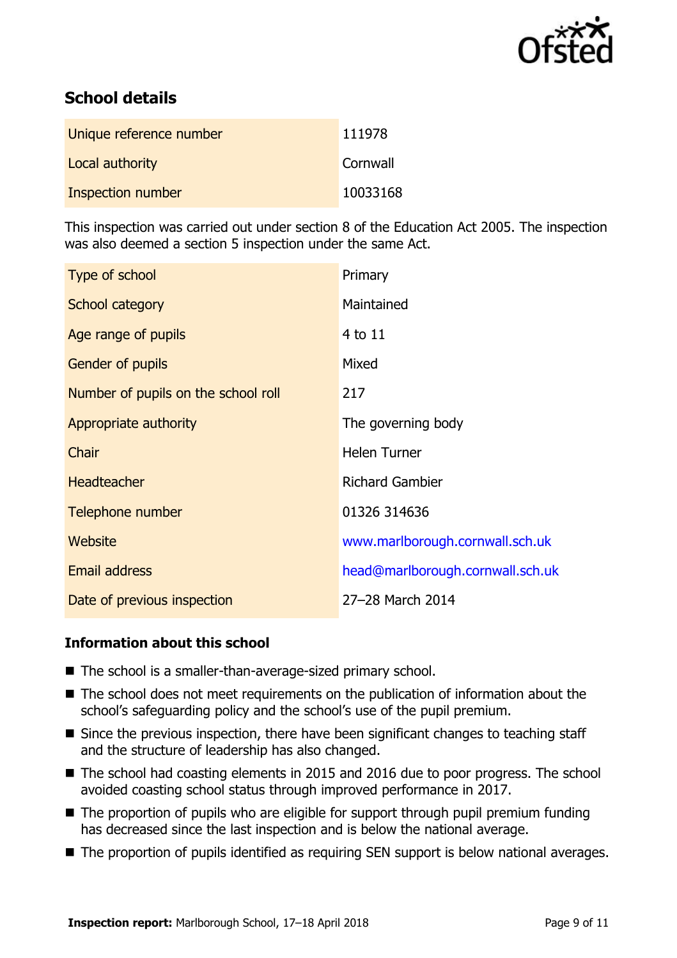

# **School details**

| Unique reference number | 111978   |
|-------------------------|----------|
| Local authority         | Cornwall |
| Inspection number       | 10033168 |

This inspection was carried out under section 8 of the Education Act 2005. The inspection was also deemed a section 5 inspection under the same Act.

| Type of school                      | Primary                          |
|-------------------------------------|----------------------------------|
| School category                     | Maintained                       |
| Age range of pupils                 | $4$ to $11$                      |
| Gender of pupils                    | Mixed                            |
| Number of pupils on the school roll | 217                              |
| Appropriate authority               | The governing body               |
| <b>Chair</b>                        | <b>Helen Turner</b>              |
| <b>Headteacher</b>                  | <b>Richard Gambier</b>           |
| Telephone number                    | 01326 314636                     |
| <b>Website</b>                      | www.marlborough.cornwall.sch.uk  |
| Email address                       | head@marlborough.cornwall.sch.uk |
| Date of previous inspection         | 27-28 March 2014                 |

### **Information about this school**

- The school is a smaller-than-average-sized primary school.
- The school does not meet requirements on the publication of information about the school's safeguarding policy and the school's use of the pupil premium.
- Since the previous inspection, there have been significant changes to teaching staff and the structure of leadership has also changed.
- The school had coasting elements in 2015 and 2016 due to poor progress. The school avoided coasting school status through improved performance in 2017.
- The proportion of pupils who are eligible for support through pupil premium funding has decreased since the last inspection and is below the national average.
- The proportion of pupils identified as requiring SEN support is below national averages.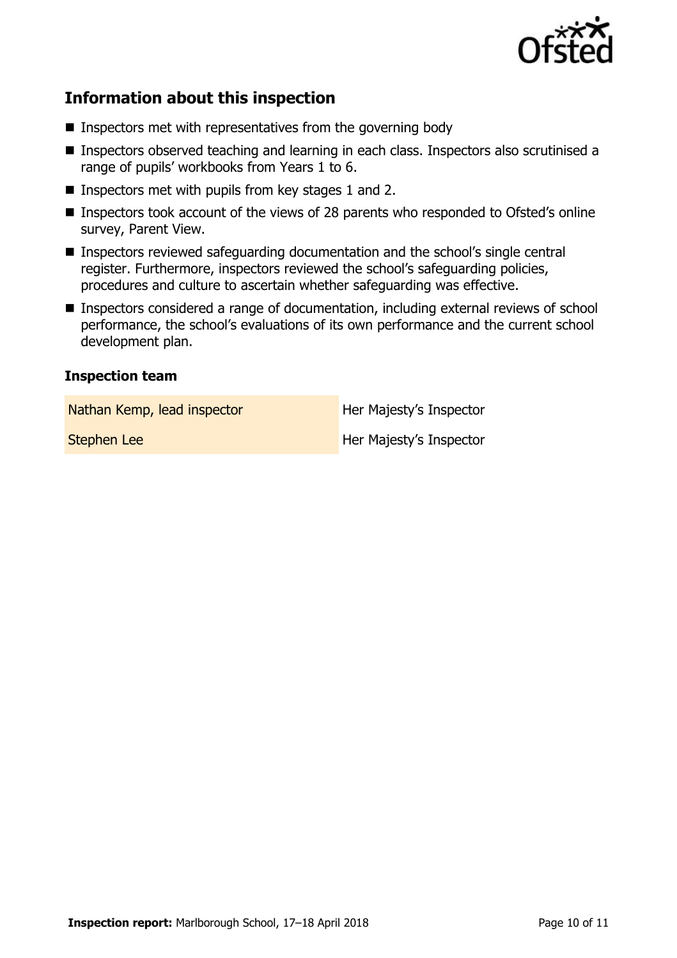

# **Information about this inspection**

- $\blacksquare$  Inspectors met with representatives from the governing body
- Inspectors observed teaching and learning in each class. Inspectors also scrutinised a range of pupils' workbooks from Years 1 to 6.
- **Inspectors met with pupils from key stages 1 and 2.**
- Inspectors took account of the views of 28 parents who responded to Ofsted's online survey, Parent View.
- Inspectors reviewed safeguarding documentation and the school's single central register. Furthermore, inspectors reviewed the school's safeguarding policies, procedures and culture to ascertain whether safeguarding was effective.
- Inspectors considered a range of documentation, including external reviews of school performance, the school's evaluations of its own performance and the current school development plan.

### **Inspection team**

Nathan Kemp, lead inspector **Her Majesty's Inspector** 

**Stephen Lee Her Majesty's Inspector**